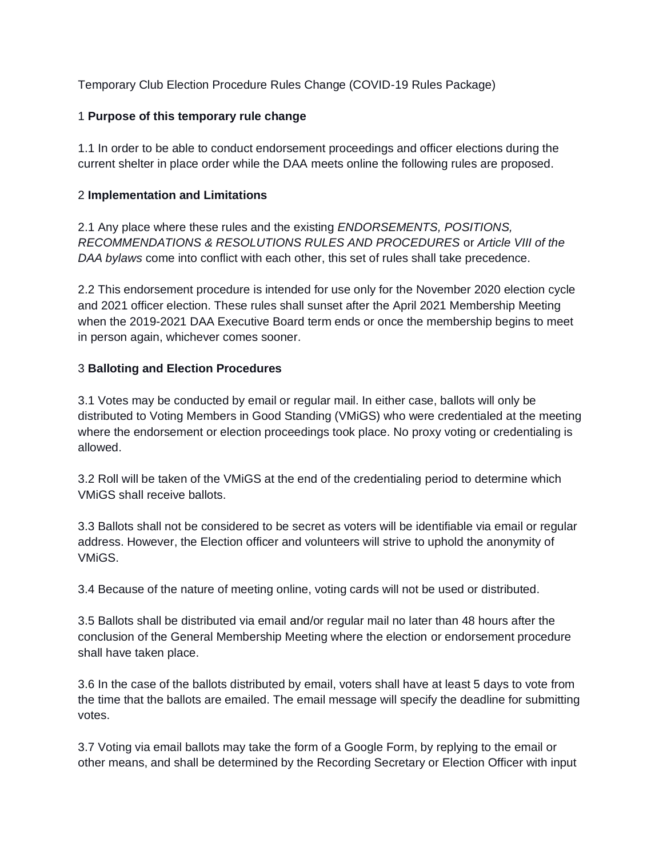Temporary Club Election Procedure Rules Change (COVID-19 Rules Package)

## 1 **Purpose of this temporary rule change**

1.1 In order to be able to conduct endorsement proceedings and officer elections during the current shelter in place order while the DAA meets online the following rules are proposed.

## 2 **Implementation and Limitations**

2.1 Any place where these rules and the existing *ENDORSEMENTS, POSITIONS, RECOMMENDATIONS & RESOLUTIONS RULES AND PROCEDURES* or *Article VIII of the DAA bylaws* come into conflict with each other, this set of rules shall take precedence.

2.2 This endorsement procedure is intended for use only for the November 2020 election cycle and 2021 officer election. These rules shall sunset after the April 2021 Membership Meeting when the 2019-2021 DAA Executive Board term ends or once the membership begins to meet in person again, whichever comes sooner.

# 3 **Balloting and Election Procedures**

3.1 Votes may be conducted by email or regular mail. In either case, ballots will only be distributed to Voting Members in Good Standing (VMiGS) who were credentialed at the meeting where the endorsement or election proceedings took place. No proxy voting or credentialing is allowed.

3.2 Roll will be taken of the VMiGS at the end of the credentialing period to determine which VMiGS shall receive ballots.

3.3 Ballots shall not be considered to be secret as voters will be identifiable via email or regular address. However, the Election officer and volunteers will strive to uphold the anonymity of VMiGS.

3.4 Because of the nature of meeting online, voting cards will not be used or distributed.

3.5 Ballots shall be distributed via email and/or regular mail no later than 48 hours after the conclusion of the General Membership Meeting where the election or endorsement procedure shall have taken place.

3.6 In the case of the ballots distributed by email, voters shall have at least 5 days to vote from the time that the ballots are emailed. The email message will specify the deadline for submitting votes.

3.7 Voting via email ballots may take the form of a Google Form, by replying to the email or other means, and shall be determined by the Recording Secretary or Election Officer with input